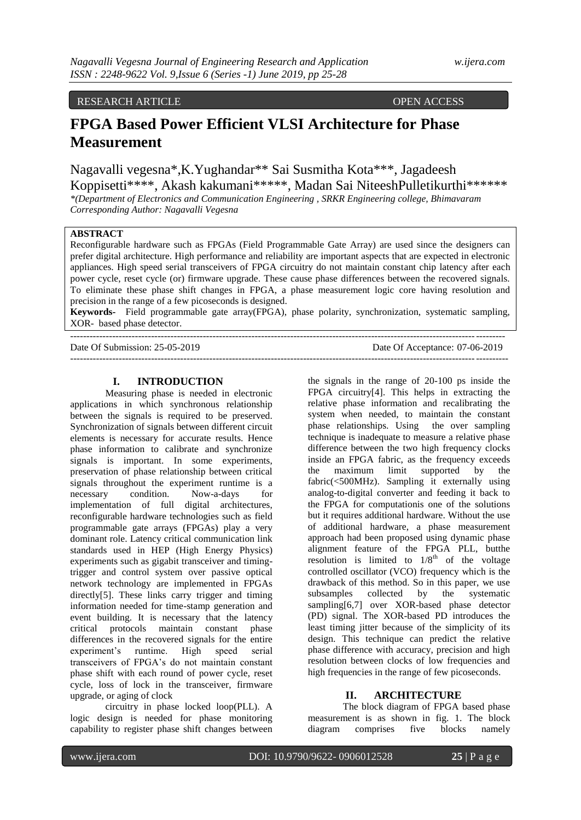# RESEARCH ARTICLE OPEN ACCESS

# **FPGA Based Power Efficient VLSI Architecture for Phase Measurement**

Nagavalli vegesna\*,K.Yughandar\*\* Sai Susmitha Kota\*\*\*, Jagadeesh Koppisetti\*\*\*\*, Akash kakumani\*\*\*\*\*, Madan Sai NiteeshPulletikurthi\*\*\*\*\*\*

*\*(Department of Electronics and Communication Engineering , SRKR Engineering college, Bhimavaram Corresponding Author: Nagavalli Vegesna*

# **ABSTRACT**

Reconfigurable hardware such as FPGAs (Field Programmable Gate Array) are used since the designers can prefer digital architecture. High performance and reliability are important aspects that are expected in electronic appliances. High speed serial transceivers of FPGA circuitry do not maintain constant chip latency after each power cycle, reset cycle (or) firmware upgrade. These cause phase differences between the recovered signals. To eliminate these phase shift changes in FPGA, a phase measurement logic core having resolution and precision in the range of a few picoseconds is designed.

**Keywords-** Field programmable gate array(FPGA), phase polarity, synchronization, systematic sampling, XOR- based phase detector.

---------------------------------------------------------------------------------------------------------------------------------------

--------------------------------------------------------------------------------------------------------------------------------------

Date Of Submission: 25-05-2019 Date Of Acceptance: 07-06-2019

#### **I. INTRODUCTION**

Measuring phase is needed in electronic applications in which synchronous relationship between the signals is required to be preserved. Synchronization of signals between different circuit elements is necessary for accurate results. Hence phase information to calibrate and synchronize signals is important. In some experiments, preservation of phase relationship between critical signals throughout the experiment runtime is a necessary condition. Now-a-days for implementation of full digital architectures, reconfigurable hardware technologies such as field programmable gate arrays (FPGAs) play a very dominant role. Latency critical communication link standards used in HEP (High Energy Physics) experiments such as gigabit transceiver and timingtrigger and control system over passive optical network technology are implemented in FPGAs directly[5]. These links carry trigger and timing information needed for time-stamp generation and event building. It is necessary that the latency critical protocols maintain constant phase differences in the recovered signals for the entire experiment's runtime. High speed serial transceivers of FPGA's do not maintain constant phase shift with each round of power cycle, reset cycle, loss of lock in the transceiver, firmware upgrade, or aging of clock

circuitry in phase locked loop(PLL). A logic design is needed for phase monitoring capability to register phase shift changes between the signals in the range of 20-100 ps inside the FPGA circuitry[4]. This helps in extracting the relative phase information and recalibrating the system when needed, to maintain the constant phase relationships. Using the over sampling technique is inadequate to measure a relative phase difference between the two high frequency clocks inside an FPGA fabric, as the frequency exceeds the maximum limit supported by the fabric(<500MHz). Sampling it externally using analog-to-digital converter and feeding it back to the FPGA for computationis one of the solutions but it requires additional hardware. Without the use of additional hardware, a phase measurement approach had been proposed using dynamic phase alignment feature of the FPGA PLL, butthe resolution is limited to  $1/8^{th}$  of the voltage controlled oscillator (VCO) frequency which is the drawback of this method. So in this paper, we use subsamples collected by the systematic sampling[6,7] over XOR-based phase detector (PD) signal. The XOR-based PD introduces the least timing jitter because of the simplicity of its design. This technique can predict the relative phase difference with accuracy, precision and high resolution between clocks of low frequencies and high frequencies in the range of few picoseconds.

### **II. ARCHITECTURE**

The block diagram of FPGA based phase measurement is as shown in fig. 1. The block diagram comprises five blocks namely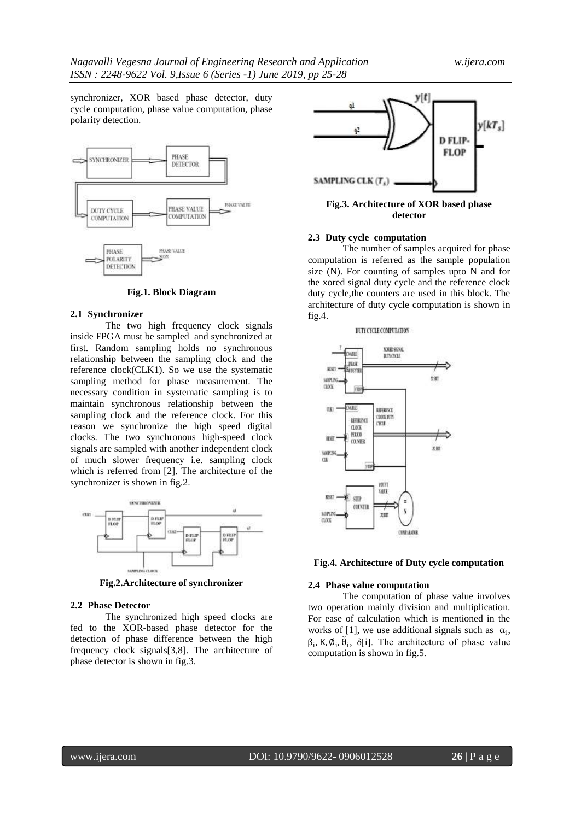synchronizer, XOR based phase detector, duty cycle computation, phase value computation, phase polarity detection.



**Fig.1. Block Diagram**

#### **2.1 Synchronizer**

The two high frequency clock signals inside FPGA must be sampled and synchronized at first. Random sampling holds no synchronous relationship between the sampling clock and the reference clock(CLK1). So we use the systematic sampling method for phase measurement. The necessary condition in systematic sampling is to maintain synchronous relationship between the sampling clock and the reference clock. For this reason we synchronize the high speed digital clocks. The two synchronous high-speed clock signals are sampled with another independent clock of much slower frequency i.e. sampling clock which is referred from [2]. The architecture of the synchronizer is shown in fig.2.



**Fig.2.Architecture of synchronizer**

#### **2.2 Phase Detector**

The synchronized high speed clocks are fed to the XOR-based phase detector for the detection of phase difference between the high frequency clock signals[3,8]. The architecture of phase detector is shown in fig.3.



**Fig.3. Architecture of XOR based phase detector**

## **2.3 Duty cycle computation**

The number of samples acquired for phase computation is referred as the sample population size (N). For counting of samples upto N and for the xored signal duty cycle and the reference clock duty cycle,the counters are used in this block. The architecture of duty cycle computation is shown in fig.4.

#### DUTY CYCLE COMPUTATION



**Fig.4. Architecture of Duty cycle computation**

#### **2.4 Phase value computation**

The computation of phase value involves two operation mainly division and multiplication. For ease of calculation which is mentioned in the works of [1], we use additional signals such as  $\alpha_i$ ,  $\beta_i$ , K,  $\emptyset_i$ ,  $\tilde{\theta}_i$ ,  $\delta[i]$ . The architecture of phase value computation is shown in fig.5.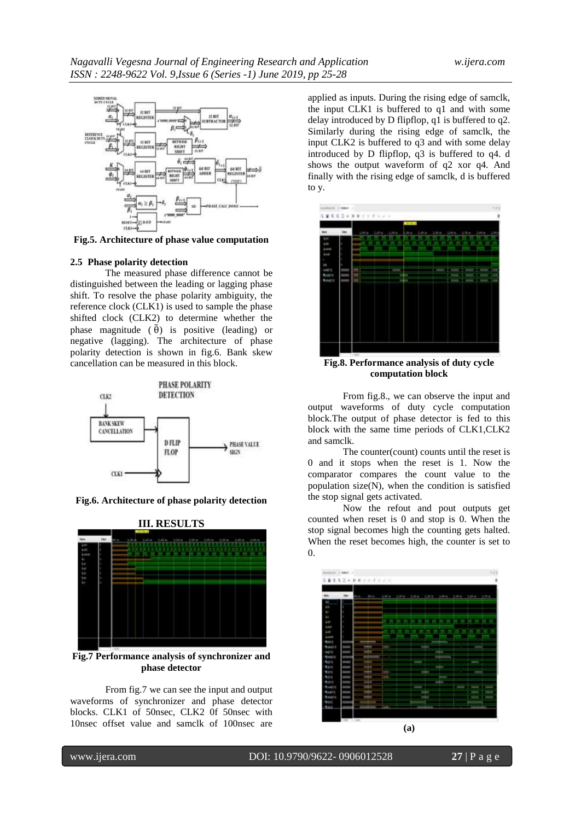

**Fig.5. Architecture of phase value computation**

#### **2.5 Phase polarity detection**

The measured phase difference cannot be distinguished between the leading or lagging phase shift. To resolve the phase polarity ambiguity, the reference clock (CLK1) is used to sample the phase shifted clock (CLK2) to determine whether the phase magnitude  $(\tilde{\theta})$  is positive (leading) or negative (lagging). The architecture of phase polarity detection is shown in fig.6. Bank skew cancellation can be measured in this block.



**Fig.6. Architecture of phase polarity detection**



**Fig.7 Performance analysis of synchronizer and phase detector**

From fig.7 we can see the input and output waveforms of synchronizer and phase detector blocks. CLK1 of 50nsec, CLK2 0f 50nsec with 10nsec offset value and samclk of 100nsec are

applied as inputs. During the rising edge of samclk, the input CLK1 is buffered to q1 and with some delay introduced by D flipflop, q1 is buffered to q2. Similarly during the rising edge of samclk, the input CLK2 is buffered to q3 and with some delay introduced by D flipflop, q3 is buffered to q4. d shows the output waveform of q2 xor q4. And finally with the rising edge of samclk, d is buffered to y.



**Fig.8. Performance analysis of duty cycle computation block**

From fig.8., we can observe the input and output waveforms of duty cycle computation block.The output of phase detector is fed to this block with the same time periods of CLK1,CLK2 and samclk.

The counter(count) counts until the reset is 0 and it stops when the reset is 1. Now the comparator compares the count value to the population size(N), when the condition is satisfied the stop signal gets activated.

Now the refout and pout outputs get counted when reset is 0 and stop is 0. When the stop signal becomes high the counting gets halted. When the reset becomes high, the counter is set to 0.